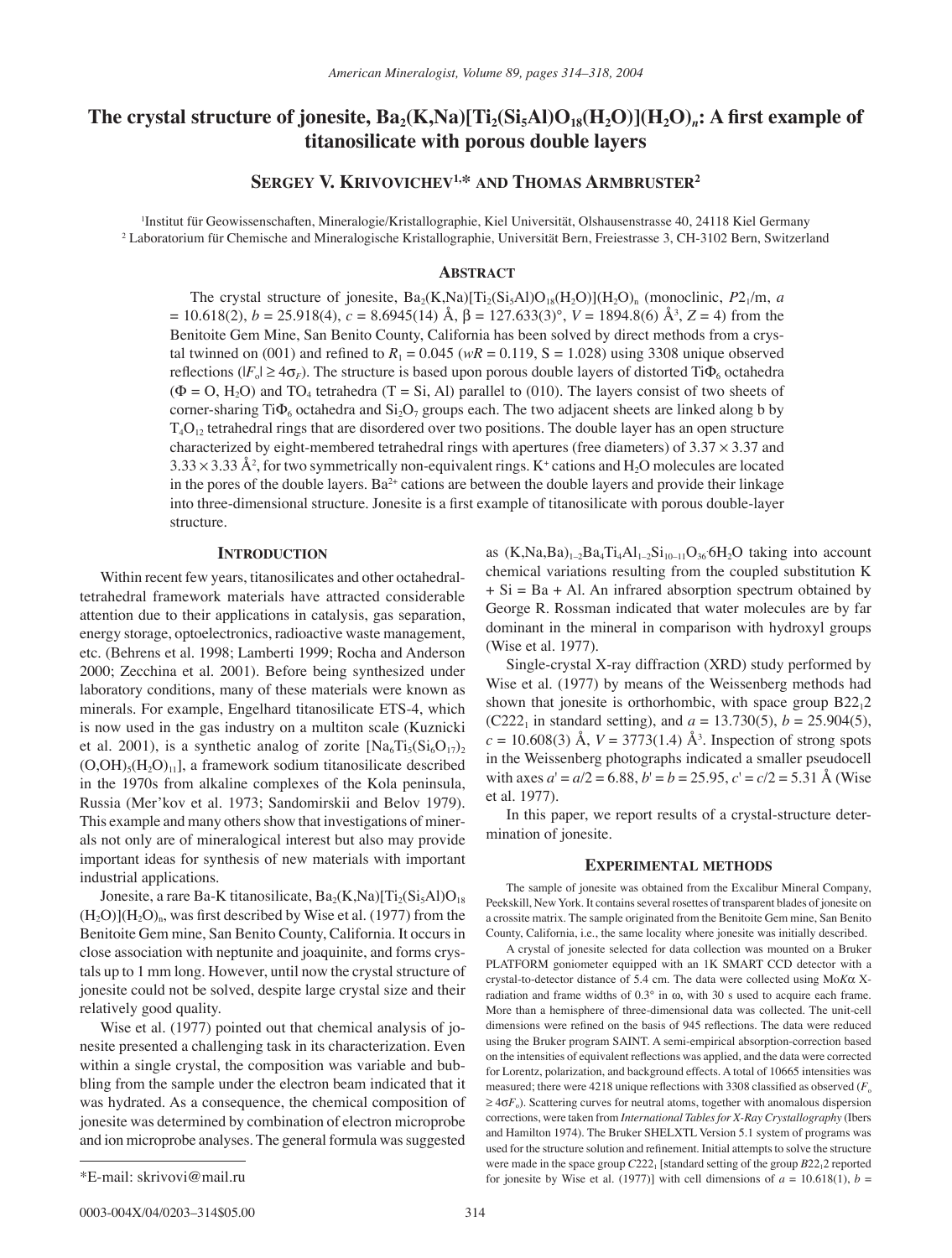# The crystal structure of jonesite,  $Ba_2(K,Na)[Ti_2(Si_5Al)O_{18}(H_2O)](H_2O)_n$ : A first example of **titanosilicate with porous double layers**

## **SERGEY V. KRIVOVICHEV1,\* AND THOMAS ARMBRUSTER2**

1 Institut für Geowissenschaften, Mineralogie/Kristallographie, Kiel Universität, Olshausenstrasse 40, 24118 Kiel Germany 2 Laboratorium für Chemische and Mineralogische Kristallographie, Universität Bern, Freiestrasse 3, CH-3102 Bern, Switzerland

#### **ABSTRACT**

The crystal structure of jonesite,  $Ba_2(K,Na)[Ti_2(Si_5A]O_{18}(H_2O)](H_2O)$ <sub>n</sub> (monoclinic,  $P2_1/m$ , *a* = 10.618(2), *b* = 25.918(4), *c* = 8.6945(14) Å, β = 127.633(3)°, *V* = 1894.8(6) Å<sup>3</sup>, Z = 4) from the Benitoite Gem Mine, San Benito County, California has been solved by direct methods from a crystal twinned on (001) and refined to  $R_1 = 0.045$  ( $wR = 0.119$ , S = 1.028) using 3308 unique observed reflections ( $|F_{o}| \ge 4\sigma_F$ ). The structure is based upon porous double layers of distorted Ti $\Phi_{6}$  octahedra  $(\Phi = 0, H_2O)$  and TO<sub>4</sub> tetrahedra (T = Si, Al) parallel to (010). The layers consist of two sheets of corner-sharing Ti $\Phi_6$  octahedra and  $Si_2O_7$  groups each. The two adjacent sheets are linked along b by  $T_4O_{12}$  tetrahedral rings that are disordered over two positions. The double layer has an open structure characterized by eight-membered tetrahedral rings with apertures (free diameters) of  $3.37 \times 3.37$  and  $3.33 \times 3.33$  Å<sup>2</sup>, for two symmetrically non-equivalent rings. K<sup>+</sup> cations and H<sub>2</sub>O molecules are located in the pores of the double layers. Ba $2+$  cations are between the double layers and provide their linkage into three-dimensional structure. Jonesite is a first example of titanosilicate with porous double-layer structure.

#### **INTRODUCTION**

Within recent few years, titanosilicates and other octahedraltetrahedral framework materials have attracted considerable attention due to their applications in catalysis, gas separation, energy storage, optoelectronics, radioactive waste management, etc. (Behrens et al. 1998; Lamberti 1999; Rocha and Anderson 2000; Zecchina et al. 2001). Before being synthesized under laboratory conditions, many of these materials were known as minerals. For example, Engelhard titanosilicate ETS-4, which is now used in the gas industry on a multiton scale (Kuznicki et al. 2001), is a synthetic analog of zorite  $[Na_6Ti_5(Si_6O_{17})_2]$  $(O, OH)_{5}(H_2O)_{11}$ , a framework sodium titanosilicate described in the 1970s from alkaline complexes of the Kola peninsula, Russia (Mer'kov et al. 1973; Sandomirskii and Belov 1979). This example and many others show that investigations of minerals not only are of mineralogical interest but also may provide important ideas for synthesis of new materials with important industrial applications.

Jonesite, a rare Ba-K titanosilicate,  $Ba_2(K,Na)[Ti_2(Si_5A]O_{18}]$  $(H_2O)$ ]( $H_2O$ )<sub>n</sub>, was first described by Wise et al. (1977) from the Benitoite Gem mine, San Benito County, California. It occurs in close association with neptunite and joaquinite, and forms crystals up to 1 mm long. However, until now the crystal structure of jonesite could not be solved, despite large crystal size and their relatively good quality.

Wise et al. (1977) pointed out that chemical analysis of jonesite presented a challenging task in its characterization. Even within a single crystal, the composition was variable and bubbling from the sample under the electron beam indicated that it was hydrated. As a consequence, the chemical composition of jonesite was determined by combination of electron microprobe and ion microprobe analyses. The general formula was suggested

as  $(K, Na, Ba)_{1-2}Ba_4Ti_4Al_{1-2}Si_{10-11}O_{36}OH_2O$  taking into account chemical variations resulting from the coupled substitution K  $+ Si = Ba + Al$ . An infrared absorption spectrum obtained by George R. Rossman indicated that water molecules are by far dominant in the mineral in comparison with hydroxyl groups (Wise et al. 1977).

Single-crystal X-ray diffraction (XRD) study performed by Wise et al. (1977) by means of the Weissenberg methods had shown that jonesite is orthorhombic, with space group B2212 (C222<sub>1</sub> in standard setting), and  $a = 13.730(5)$ ,  $b = 25.904(5)$ ,  $c = 10.608(3)$  Å,  $V = 3773(1.4)$  Å<sup>3</sup>. Inspection of strong spots in the Weissenberg photographs indicated a smaller pseudocell with axes  $a' = a/2 = 6.88$ ,  $b' = b = 25.95$ ,  $c' = c/2 = 5.31$  Å (Wise et al. 1977).

In this paper, we report results of a crystal-structure determination of jonesite.

#### **EXPERIMENTAL METHODS**

The sample of jonesite was obtained from the Excalibur Mineral Company, Peekskill, New York. It contains several rosettes of transparent blades of jonesite on a crossite matrix. The sample originated from the Benitoite Gem mine, San Benito County, California, i.e., the same locality where jonesite was initially described.

A crystal of jonesite selected for data collection was mounted on a Bruker PLATFORM goniometer equipped with an 1K SMART CCD detector with a crystal-to-detector distance of 5.4 cm. The data were collected using Mo*K*α Xradiation and frame widths of 0.3° in ω, with 30 s used to acquire each frame. More than a hemisphere of three-dimensional data was collected. The unit-cell dimensions were refined on the basis of 945 reflections. The data were reduced using the Bruker program SAINT. A semi-empirical absorption-correction based on the intensities of equivalent reflections was applied, and the data were corrected for Lorentz, polarization, and background effects. A total of 10665 intensities was measured; there were  $4218$  unique reflections with 3308 classified as observed  $(F_0$  $\geq 4\sigma F_0$ ). Scattering curves for neutral atoms, together with anomalous dispersion corrections, were taken from *International Tables for X-Ray Crystallography* (Ibers and Hamilton 1974). The Bruker SHELXTL Version 5.1 system of programs was used for the structure solution and refinement. Initial attempts to solve the structure were made in the space group  $C222_1$  [standard setting of the group  $B22_12$  reported \*E-mail: skrivovi@mail.ru **for interesting the set al.** (1977)] with cell dimensions of  $a = 10.618(1)$ ,  $b =$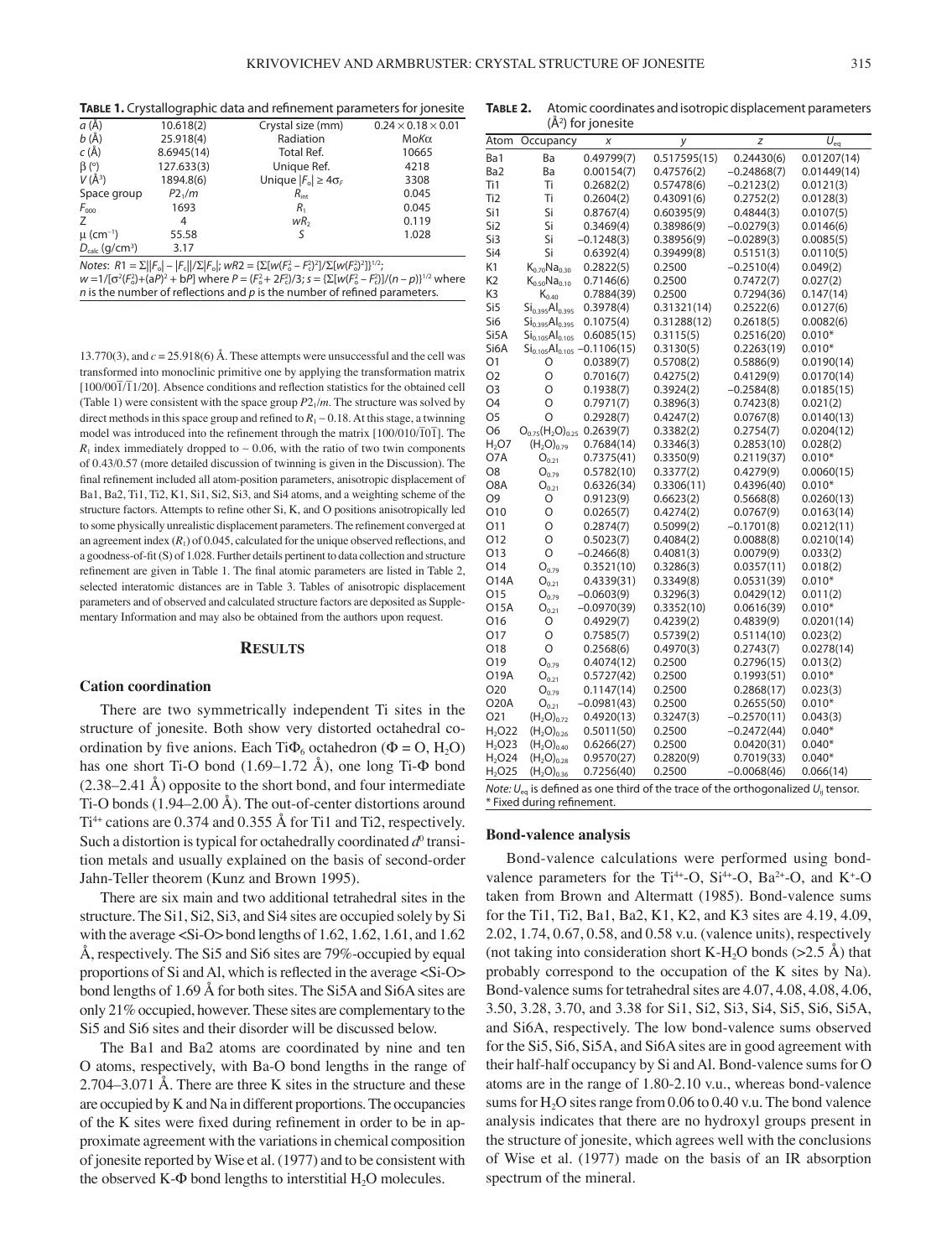| <b>TABLE 1.</b> Crystallographic data and refinement parameters for jonesite |  |
|------------------------------------------------------------------------------|--|
|------------------------------------------------------------------------------|--|

|                                        |            | <b>11.000</b> 11 cm / standard princ aata and remientement parameters for joinested |                                |
|----------------------------------------|------------|-------------------------------------------------------------------------------------|--------------------------------|
| $a(\AA)$                               | 10.618(2)  | Crystal size (mm)                                                                   | $0.24 \times 0.18 \times 0.01$ |
| b(A)                                   | 25.918(4)  | Radiation                                                                           | ΜοΚα                           |
| $c(\AA)$                               | 8.6945(14) | <b>Total Ref.</b>                                                                   | 10665                          |
| $\beta$ (°)                            | 127.633(3) | Unique Ref.                                                                         | 4218                           |
| $V(\AA^3)$                             | 1894.8(6)  | Unique $ F_{0}  \geq 4\sigma_{F}$                                                   | 3308                           |
| Space group                            | $P2_1/m$   | $R_{\text{int}}$                                                                    | 0.045                          |
| $F_{000}$                              | 1693       | R,                                                                                  | 0.045                          |
| 7                                      | 4          | wR <sub>2</sub>                                                                     | 0.119                          |
| $\mu$ (cm <sup>-1</sup> )              | 55.58      |                                                                                     | 1.028                          |
| $D_{\text{calc}}$ (g/cm <sup>3</sup> ) | 3.17       |                                                                                     |                                |

Notes: R1 = Σ||F<sub>o</sub>| – |F<sub>c</sub>||/Σ|F<sub>o</sub>|; wR2 = {Σ[w(F<sub>o</sub><sup>2</sup> – F<sub>c</sub>)<sup>2</sup>]/Σ[w(F<sub>o</sub><sup>2</sup>)<sup>2</sup>]}<sup>1/2</sup>;

 $w=1/[\sigma^2(F_0^2)+(aP)^2+bP]$  where  $P=(F_0^2+2F_0^2)/3$ ;  $s=\{\sum[w(F_0^2-F_0^2)]/(n-p)\}^{1/2}$  where

 $n$  is the number of reflections and  $p$  is the number of refined parameters.

13.770(3), and  $c = 25.918(6)$  Å. These attempts were unsuccessful and the cell was transformed into monoclinic primitive one by applying the transformation matrix  $[100/00\overline{1}/\overline{1}1/20]$ . Absence conditions and reflection statistics for the obtained cell (Table 1) were consistent with the space group  $P2_1/m$ . The structure was solved by direct methods in this space group and refined to  $R_1$  ∼ 0.18. At this stage, a twinning model was introduced into the refinement through the matrix  $[100/010/\overline{1}0\overline{1}]$ . The  $R_1$  index immediately dropped to ~ 0.06, with the ratio of two twin components of 0.43/0.57 (more detailed discussion of twinning is given in the Discussion). The final refinement included all atom-position parameters, anisotropic displacement of Ba1, Ba2, Ti1, Ti2, K1, Si1, Si2, Si3, and Si4 atoms, and a weighting scheme of the structure factors. Attempts to refine other Si, K, and O positions anisotropically led to some physically unrealistic displacement parameters. The refinement converged at an agreement index  $(R_1)$  of 0.045, calculated for the unique observed reflections, and a goodness-of-fit (S) of 1.028. Further details pertinent to data collection and structure refinement are given in Table 1. The final atomic parameters are listed in Table 2, selected interatomic distances are in Table 3. Tables of anisotropic displacement parameters and of observed and calculated structure factors are deposited as Supplementary Information and may also be obtained from the authors upon request.

#### **RESULTS**

#### **Cation coordination**

There are two symmetrically independent Ti sites in the structure of jonesite. Both show very distorted octahedral coordination by five anions. Each Ti $\Phi_6$  octahedron ( $\Phi = O$ , H<sub>2</sub>O) has one short Ti-O bond (1.69–1.72 Å), one long Ti-Φ bond (2.38–2.41 Å) opposite to the short bond, and four intermediate Ti-O bonds (1.94–2.00 Å). The out-of-center distortions around  $Ti<sup>4+</sup>$  cations are 0.374 and 0.355 Å for Ti1 and Ti2, respectively. Such a distortion is typical for octahedrally coordinated  $d^0$  transition metals and usually explained on the basis of second-order Jahn-Teller theorem (Kunz and Brown 1995).

There are six main and two additional tetrahedral sites in the structure. The Si1, Si2, Si3, and Si4 sites are occupied solely by Si with the average <Si-O> bond lengths of 1.62, 1.62, 1.61, and 1.62 Å, respectively. The Si5 and Si6 sites are 79%-occupied by equal proportions of Si and Al, which is reflected in the average <Si-O> bond lengths of 1.69 Å for both sites. The Si5A and Si6A sites are only 21% occupied, however. These sites are complementary to the Si5 and Si6 sites and their disorder will be discussed below.

The Ba1 and Ba2 atoms are coordinated by nine and ten O atoms, respectively, with Ba-O bond lengths in the range of 2.704–3.071 Å. There are three K sites in the structure and these are occupied by K and Na in different proportions. The occupancies of the K sites were fixed during refinement in order to be in approximate agreement with the variations in chemical composition of jonesite reported by Wise et al. (1977) and to be consistent with the observed  $K-\Phi$  bond lengths to interstitial  $H_2O$  molecules.

| TABLE 2. | Atomic coordinates and isotropic displacement parameters |
|----------|----------------------------------------------------------|
|          | $(\AA^2)$ for jonesite                                   |

|                                                                                                                          | (A-) for jonesite                       |                              |              |               |             |
|--------------------------------------------------------------------------------------------------------------------------|-----------------------------------------|------------------------------|--------------|---------------|-------------|
| Atom                                                                                                                     | Occupancy                               | Χ                            | у            | Z             | $U_{eq}$    |
| Ba1                                                                                                                      | Ba                                      | 0.49799(7)                   | 0.517595(15) | 0.24430(6)    | 0.01207(14) |
| Ba2                                                                                                                      | Ba                                      | 0.00154(7)                   | 0.47576(2)   | $-0.24868(7)$ | 0.01449(14) |
| Ti1                                                                                                                      | Τi                                      | 0.2682(2)                    | 0.57478(6)   | $-0.2123(2)$  | 0.0121(3)   |
| Ti <sub>2</sub>                                                                                                          | Ti                                      | 0.2604(2)                    | 0.43091(6)   | 0.2752(2)     | 0.0128(3)   |
| Si1                                                                                                                      | Si                                      | 0.8767(4)                    | 0.60395(9)   | 0.4844(3)     | 0.0107(5)   |
| Si <sub>2</sub>                                                                                                          | Si                                      | 0.3469(4)                    | 0.38986(9)   | $-0.0279(3)$  | 0.0146(6)   |
| Si3                                                                                                                      | Si                                      | $-0.1248(3)$                 | 0.38956(9)   | $-0.0289(3)$  | 0.0085(5)   |
| Si4                                                                                                                      | Si                                      | 0.6392(4)                    | 0.39499(8)   | 0.5151(3)     | 0.0110(5)   |
| K1                                                                                                                       | $K_{0,70}Na_{0,30}$                     | 0.2822(5)                    | 0.2500       | $-0.2510(4)$  | 0.049(2)    |
| K <sub>2</sub>                                                                                                           | $K_{0.50}$ Na <sub>0.10</sub>           | 0.7146(6)                    | 0.2500       | 0.7472(7)     | 0.027(2)    |
| K3                                                                                                                       | $K_{0.40}$                              | 0.7884(39)                   | 0.2500       | 0.7294(36)    | 0.147(14)   |
| Si <sub>5</sub>                                                                                                          | Si <sub>0.395</sub> Al <sub>0.395</sub> | 0.3978(4)                    | 0.31321(14)  | 0.2522(6)     | 0.0127(6)   |
| Si6                                                                                                                      | $\mathsf{Si_{0.395}Al_{0.395}}$         | 0.1075(4)                    | 0.31288(12)  | 0.2618(5)     | 0.0082(6)   |
| Si5A                                                                                                                     | Si <sub>0.105</sub> Al <sub>0.105</sub> | 0.6085(15)                   | 0.3115(5)    | 0.2516(20)    | $0.010*$    |
| Si6A                                                                                                                     |                                         | $Si0.105Al0.105 -0.1106(15)$ | 0.3130(5)    | 0.2263(19)    | $0.010*$    |
| 01                                                                                                                       | O                                       | 0.0389(7)                    | 0.5708(2)    | 0.5886(9)     | 0.0190(14)  |
| O <sub>2</sub>                                                                                                           | $\circ$                                 | 0.7016(7)                    | 0.4275(2)    | 0.4129(9)     | 0.0170(14)  |
| O <sub>3</sub>                                                                                                           | $\circ$                                 | 0.1938(7)                    | 0.3924(2)    | $-0.2584(8)$  | 0.0185(15)  |
| O <sub>4</sub>                                                                                                           | O                                       | 0.7971(7)                    | 0.3896(3)    | 0.7423(8)     | 0.021(2)    |
| O <sub>5</sub>                                                                                                           | $\circ$                                 | 0.2928(7)                    | 0.4247(2)    | 0.0767(8)     | 0.0140(13)  |
| O6                                                                                                                       | $O_{0.75}(H, O)_{0.25}$                 | 0.2639(7)                    | 0.3382(2)    | 0.2754(7)     | 0.0204(12)  |
| H <sub>2</sub> O7                                                                                                        | (H <sub>2</sub> O) <sub>0.79</sub>      | 0.7684(14)                   | 0.3346(3)    | 0.2853(10)    | 0.028(2)    |
| O7A                                                                                                                      | $O_{0.21}$                              | 0.7375(41)                   | 0.3350(9)    | 0.2119(37)    | $0.010*$    |
| O8                                                                                                                       | $O_{0.79}$                              | 0.5782(10)                   | 0.3377(2)    | 0.4279(9)     | 0.0060(15)  |
| O8A                                                                                                                      | $O_{0.21}$                              | 0.6326(34)                   | 0.3306(11)   | 0.4396(40)    | $0.010*$    |
| O <sub>9</sub>                                                                                                           | O                                       | 0.9123(9)                    | 0.6623(2)    | 0.5668(8)     | 0.0260(13)  |
| O10                                                                                                                      | O                                       | 0.0265(7)                    | 0.4274(2)    | 0.0767(9)     | 0.0163(14)  |
| 011                                                                                                                      | O                                       | 0.2874(7)                    | 0.5099(2)    | $-0.1701(8)$  | 0.0212(11)  |
| O12                                                                                                                      | O                                       | 0.5023(7)                    | 0.4084(2)    | 0.0088(8)     | 0.0210(14)  |
| O13                                                                                                                      | O                                       | $-0.2466(8)$                 | 0.4081(3)    | 0.0079(9)     | 0.033(2)    |
| O14                                                                                                                      | $O_{0.79}$                              | 0.3521(10)                   | 0.3286(3)    | 0.0357(11)    | 0.018(2)    |
| O14A                                                                                                                     | O <sub>0.21</sub>                       | 0.4339(31)                   | 0.3349(8)    | 0.0531(39)    | $0.010*$    |
| O15                                                                                                                      | $O_{0.79}$                              | $-0.0603(9)$                 | 0.3296(3)    | 0.0429(12)    | 0.011(2)    |
| O15A                                                                                                                     | $O_{0.21}$                              | $-0.0970(39)$                | 0.3352(10)   | 0.0616(39)    | $0.010*$    |
| O16                                                                                                                      | O                                       | 0.4929(7)                    | 0.4239(2)    | 0.4839(9)     | 0.0201(14)  |
| O17                                                                                                                      | O                                       | 0.7585(7)                    | 0.5739(2)    | 0.5114(10)    | 0.023(2)    |
| O18                                                                                                                      | $\Omega$                                | 0.2568(6)                    | 0.4970(3)    | 0.2743(7)     | 0.0278(14)  |
| 019                                                                                                                      | $O_{0.79}$                              | 0.4074(12)                   | 0.2500       | 0.2796(15)    | 0.013(2)    |
| O19A                                                                                                                     | $O_{0.21}$                              | 0.5727(42)                   | 0.2500       | 0.1993(51)    | $0.010*$    |
| O <sub>20</sub>                                                                                                          | $O_{0.79}$                              | 0.1147(14)                   | 0.2500       | 0.2868(17)    | 0.023(3)    |
| <b>O20A</b>                                                                                                              | $O_{0.21}$                              | $-0.0981(43)$                | 0.2500       | 0.2655(50)    | $0.010*$    |
| 021                                                                                                                      | (H <sub>2</sub> O) <sub>0.72</sub>      | 0.4920(13)                   | 0.3247(3)    | $-0.2570(11)$ | 0.043(3)    |
| H <sub>2</sub> O <sub>2</sub> 2                                                                                          | (H <sub>2</sub> O) <sub>0.26</sub>      | 0.5011(50)                   | 0.2500       | $-0.2472(44)$ | $0.040*$    |
| H <sub>2</sub> O23                                                                                                       | (H <sub>2</sub> O) <sub>0.40</sub>      | 0.6266(27)                   | 0.2500       | 0.0420(31)    | $0.040*$    |
| H <sub>2</sub> O <sub>2</sub> 4                                                                                          | (H <sub>2</sub> O) <sub>0.28</sub>      | 0.9570(27)                   | 0.2820(9)    | 0.7019(33)    | $0.040*$    |
| H <sub>2</sub> O <sub>25</sub>                                                                                           | (H <sub>2</sub> O) <sub>0.36</sub>      | 0.7256(40)                   | 0.2500       | $-0.0068(46)$ | 0.066(14)   |
| Note: $U_{eq}$ is defined as one third of the trace of the orthogonalized $U_{ii}$ tensor.<br>* Fixed during refinement. |                                         |                              |              |               |             |

**Bond-valence analysis**

Bond-valence calculations were performed using bondvalence parameters for the  $Ti^{4+}$ -O,  $Si^{4+}$ -O,  $Ba^{2+}$ -O, and  $K^+$ -O taken from Brown and Altermatt (1985). Bond-valence sums for the Ti1, Ti2, Ba1, Ba2, K1, K2, and K3 sites are 4.19, 4.09, 2.02, 1.74, 0.67, 0.58, and 0.58 v.u. (valence units), respectively (not taking into consideration short K-H<sub>2</sub>O bonds ( $>2.5$  Å) that probably correspond to the occupation of the K sites by Na). Bond-valence sums for tetrahedral sites are 4.07, 4.08, 4.08, 4.06, 3.50, 3.28, 3.70, and 3.38 for Si1, Si2, Si3, Si4, Si5, Si6, Si5A, and Si6A, respectively. The low bond-valence sums observed for the Si5, Si6, Si5A, and Si6A sites are in good agreement with their half-half occupancy by Si and Al. Bond-valence sums for O atoms are in the range of 1.80-2.10 v.u., whereas bond-valence sums for  $H<sub>2</sub>O$  sites range from 0.06 to 0.40 v.u. The bond valence analysis indicates that there are no hydroxyl groups present in the structure of jonesite, which agrees well with the conclusions of Wise et al. (1977) made on the basis of an IR absorption spectrum of the mineral.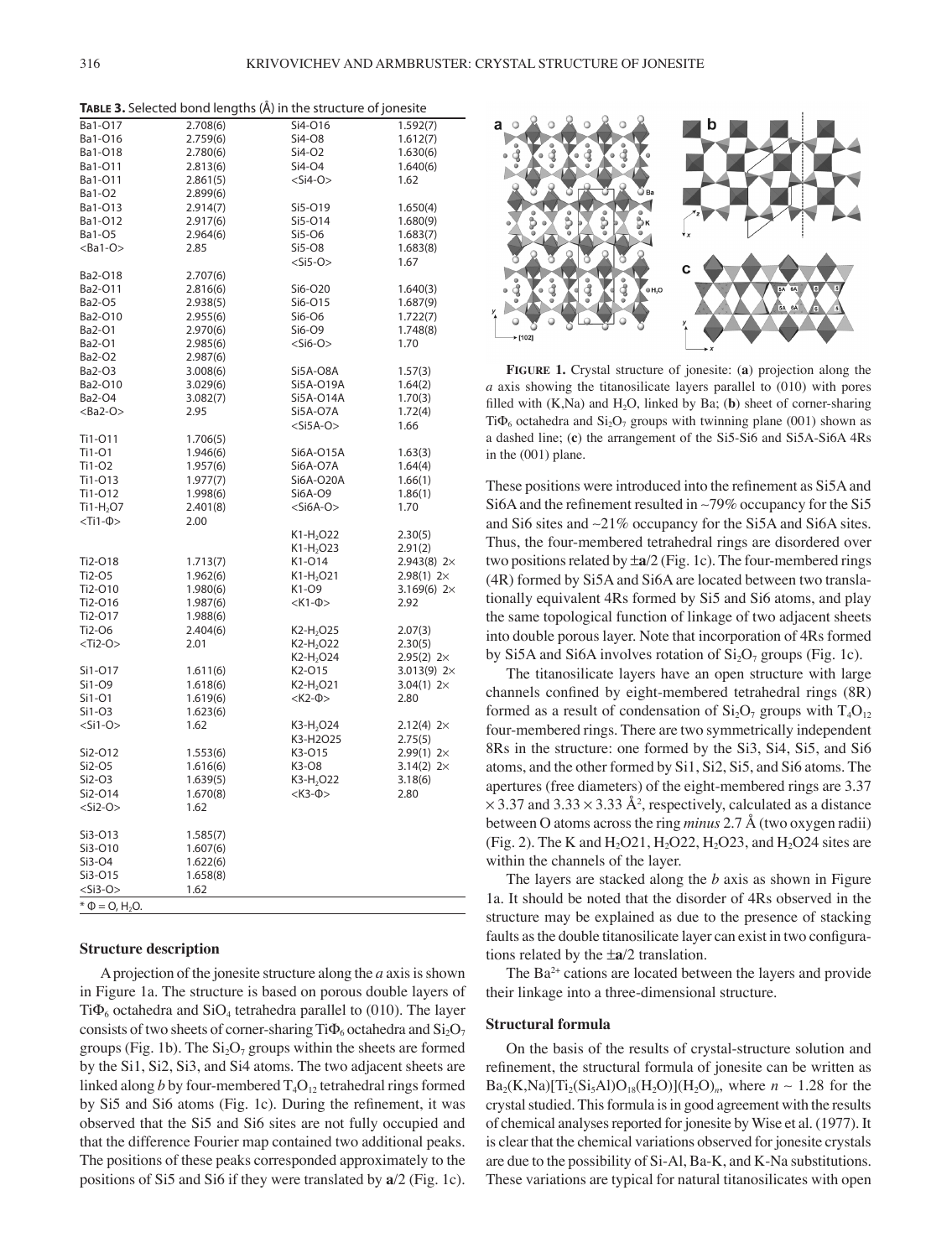| TABLE 3. Selected bond lengths (Å) in the structure of jonesite |  |
|-----------------------------------------------------------------|--|
|-----------------------------------------------------------------|--|

| Ba1-O17<br>2.708(6)<br>Si4-016<br>1.592(7)<br>Ba1-O16<br>2.759(6)<br>Si4-08<br>1.612(7)<br>Ba1-O18<br>2.780(6)<br>Si4-O2<br>1.630(6)<br>Si4-O4<br>Ba1-O11<br>2.813(6)<br>1.640(6)<br>$<$ Si4-O $>$<br>Ba1-O11<br>2.861(5)<br>1.62<br>Ba1-O2<br>2.899(6)<br>Ba1-013<br>Si5-019<br>2.914(7)<br>1.650(4)<br>Ba1-O12<br>2.917(6)<br>Si5-014<br>1.680(9)<br>Ba1-O5<br>2.964(6)<br>Si5-O6<br>1.683(7)<br>$<$ Ba1-O><br>Si5-08<br>2.85<br>1.683(8)<br>$<$ Si5-O $>$<br>1.67<br>Ba2-O18<br>2.707(6)<br>Ba2-O11<br>Si6-O20<br>2.816(6)<br>1.640(3)<br>Ba2-O5<br>Si6-O15<br>2.938(5)<br>1.687(9)<br>Si6-O6<br>Ba2-O10<br>2.955(6)<br>1.722(7)<br>Ba2-O1<br>2.970(6)<br>Si6-O9<br>1.748(8)<br>$<$ Si6-O $>$<br>1.70<br>Ba2-O1<br>2.985(6)<br>Ba2-O2<br>2.987(6)<br>Ba2-O3<br>3.008(6)<br>Si5A-O8A<br>1.57(3)<br>Ba2-O10<br>3.029(6)<br>Si5A-O19A<br>1.64(2)<br>Ba2-O4<br>Si5A-O14A<br>3.082(7)<br>1.70(3)<br>$<$ Ba2-O $>$<br>2.95<br>Si5A-O7A<br>1.72(4)<br>$<$ Si5A-O $>$<br>1.66<br>Ti1-011<br>1.706(5)<br>Ti1-01<br>1.946(6)<br>Si6A-O15A<br>1.63(3)<br>Ti1-02<br>Si6A-O7A<br>1.64(4)<br>1.957(6)<br>Ti1-013<br>Si6A-O20A<br>1.977(7)<br>1.66(1)<br>Ti1-012<br>1.998(6)<br>Si6A-O9<br>1.86(1)<br>$<$ Si6A-O $>$<br>$Ti1-H2O7$<br>2.401(8)<br>1.70<br>$<$ Ti1- $\Phi$ ><br>2.00<br>K1-H <sub>2</sub> O22<br>2.30(5)<br>$K1-H2O23$<br>2.91(2)<br>K1-014<br>2.943(8) 2×<br>Ti2-018<br>1.713(7)<br>Ti2-O5<br>$K1-H2O21$<br>1.962(6)<br>$2.98(1)$ 2 $\times$<br>Ti2-O10<br>1.980(6)<br>K1-O9<br>3.169(6) $2 \times$<br>$<$ K1- $\Phi$ ><br>Ti2-016<br>1.987(6)<br>2.92<br>Ti2-017<br>1.988(6)<br>K2-H <sub>2</sub> O25<br>Ti2-06<br>2.404(6)<br>2.07(3)<br>$<$ Ti2-O $>$<br>2.01<br>$K2-H2O22$<br>2.30(5)<br>K2-H <sub>2</sub> O24<br>$2.95(2) 2 \times$<br>Si1-017<br>1.611(6)<br>K <sub>2</sub> -015<br>3.013(9) $2 \times$<br>Si1-09<br>1.618(6)<br>K2-H <sub>2</sub> O21<br>3.04(1) $2 \times$<br>Si1-01<br>$<$ K2- $\Phi$ ><br>2.80<br>1.619(6)<br>Si1-O3<br>1.623(6)<br>$<$ Si1-O><br>K3-H <sub>2</sub> O24<br>1.62<br>$2.12(4)$ 2×<br>K3-H2O25<br>2.75(5)<br>Si2-O12<br>1.553(6)<br>K3-015<br>$2.99(1) 2 \times$<br>Si2-O5<br>1.616(6)<br>K3-O8<br>3.14(2) $2 \times$<br>Si2-O3<br>K3-H <sub>2</sub> O22<br>1.639(5)<br>3.18(6)<br>Si2-O14<br>$<$ K3- $\Phi$ ><br>1.670(8)<br>2.80<br>$<$ Si2-O $>$<br>1.62<br>Si3-013<br>1.585(7)<br>Si3-O10<br>1.607(6)<br>Si3-04<br>1.622(6)<br>Si3-015<br>1.658(8)<br>$<$ Si3-O><br>1.62<br>$*$ $\Phi$ = 0, H <sub>2</sub> O. |  |  |
|--------------------------------------------------------------------------------------------------------------------------------------------------------------------------------------------------------------------------------------------------------------------------------------------------------------------------------------------------------------------------------------------------------------------------------------------------------------------------------------------------------------------------------------------------------------------------------------------------------------------------------------------------------------------------------------------------------------------------------------------------------------------------------------------------------------------------------------------------------------------------------------------------------------------------------------------------------------------------------------------------------------------------------------------------------------------------------------------------------------------------------------------------------------------------------------------------------------------------------------------------------------------------------------------------------------------------------------------------------------------------------------------------------------------------------------------------------------------------------------------------------------------------------------------------------------------------------------------------------------------------------------------------------------------------------------------------------------------------------------------------------------------------------------------------------------------------------------------------------------------------------------------------------------------------------------------------------------------------------------------------------------------------------------------------------------------------------------------------------------------------------------------------------------------------------------------------------------------------------------------------------------------------------------------------------------------------------------------------------------------------------------------------------------------------------------------------------------|--|--|
|                                                                                                                                                                                                                                                                                                                                                                                                                                                                                                                                                                                                                                                                                                                                                                                                                                                                                                                                                                                                                                                                                                                                                                                                                                                                                                                                                                                                                                                                                                                                                                                                                                                                                                                                                                                                                                                                                                                                                                                                                                                                                                                                                                                                                                                                                                                                                                                                                                                              |  |  |
|                                                                                                                                                                                                                                                                                                                                                                                                                                                                                                                                                                                                                                                                                                                                                                                                                                                                                                                                                                                                                                                                                                                                                                                                                                                                                                                                                                                                                                                                                                                                                                                                                                                                                                                                                                                                                                                                                                                                                                                                                                                                                                                                                                                                                                                                                                                                                                                                                                                              |  |  |
|                                                                                                                                                                                                                                                                                                                                                                                                                                                                                                                                                                                                                                                                                                                                                                                                                                                                                                                                                                                                                                                                                                                                                                                                                                                                                                                                                                                                                                                                                                                                                                                                                                                                                                                                                                                                                                                                                                                                                                                                                                                                                                                                                                                                                                                                                                                                                                                                                                                              |  |  |
|                                                                                                                                                                                                                                                                                                                                                                                                                                                                                                                                                                                                                                                                                                                                                                                                                                                                                                                                                                                                                                                                                                                                                                                                                                                                                                                                                                                                                                                                                                                                                                                                                                                                                                                                                                                                                                                                                                                                                                                                                                                                                                                                                                                                                                                                                                                                                                                                                                                              |  |  |
|                                                                                                                                                                                                                                                                                                                                                                                                                                                                                                                                                                                                                                                                                                                                                                                                                                                                                                                                                                                                                                                                                                                                                                                                                                                                                                                                                                                                                                                                                                                                                                                                                                                                                                                                                                                                                                                                                                                                                                                                                                                                                                                                                                                                                                                                                                                                                                                                                                                              |  |  |
|                                                                                                                                                                                                                                                                                                                                                                                                                                                                                                                                                                                                                                                                                                                                                                                                                                                                                                                                                                                                                                                                                                                                                                                                                                                                                                                                                                                                                                                                                                                                                                                                                                                                                                                                                                                                                                                                                                                                                                                                                                                                                                                                                                                                                                                                                                                                                                                                                                                              |  |  |
|                                                                                                                                                                                                                                                                                                                                                                                                                                                                                                                                                                                                                                                                                                                                                                                                                                                                                                                                                                                                                                                                                                                                                                                                                                                                                                                                                                                                                                                                                                                                                                                                                                                                                                                                                                                                                                                                                                                                                                                                                                                                                                                                                                                                                                                                                                                                                                                                                                                              |  |  |
|                                                                                                                                                                                                                                                                                                                                                                                                                                                                                                                                                                                                                                                                                                                                                                                                                                                                                                                                                                                                                                                                                                                                                                                                                                                                                                                                                                                                                                                                                                                                                                                                                                                                                                                                                                                                                                                                                                                                                                                                                                                                                                                                                                                                                                                                                                                                                                                                                                                              |  |  |
|                                                                                                                                                                                                                                                                                                                                                                                                                                                                                                                                                                                                                                                                                                                                                                                                                                                                                                                                                                                                                                                                                                                                                                                                                                                                                                                                                                                                                                                                                                                                                                                                                                                                                                                                                                                                                                                                                                                                                                                                                                                                                                                                                                                                                                                                                                                                                                                                                                                              |  |  |
|                                                                                                                                                                                                                                                                                                                                                                                                                                                                                                                                                                                                                                                                                                                                                                                                                                                                                                                                                                                                                                                                                                                                                                                                                                                                                                                                                                                                                                                                                                                                                                                                                                                                                                                                                                                                                                                                                                                                                                                                                                                                                                                                                                                                                                                                                                                                                                                                                                                              |  |  |
|                                                                                                                                                                                                                                                                                                                                                                                                                                                                                                                                                                                                                                                                                                                                                                                                                                                                                                                                                                                                                                                                                                                                                                                                                                                                                                                                                                                                                                                                                                                                                                                                                                                                                                                                                                                                                                                                                                                                                                                                                                                                                                                                                                                                                                                                                                                                                                                                                                                              |  |  |
|                                                                                                                                                                                                                                                                                                                                                                                                                                                                                                                                                                                                                                                                                                                                                                                                                                                                                                                                                                                                                                                                                                                                                                                                                                                                                                                                                                                                                                                                                                                                                                                                                                                                                                                                                                                                                                                                                                                                                                                                                                                                                                                                                                                                                                                                                                                                                                                                                                                              |  |  |
|                                                                                                                                                                                                                                                                                                                                                                                                                                                                                                                                                                                                                                                                                                                                                                                                                                                                                                                                                                                                                                                                                                                                                                                                                                                                                                                                                                                                                                                                                                                                                                                                                                                                                                                                                                                                                                                                                                                                                                                                                                                                                                                                                                                                                                                                                                                                                                                                                                                              |  |  |
|                                                                                                                                                                                                                                                                                                                                                                                                                                                                                                                                                                                                                                                                                                                                                                                                                                                                                                                                                                                                                                                                                                                                                                                                                                                                                                                                                                                                                                                                                                                                                                                                                                                                                                                                                                                                                                                                                                                                                                                                                                                                                                                                                                                                                                                                                                                                                                                                                                                              |  |  |
|                                                                                                                                                                                                                                                                                                                                                                                                                                                                                                                                                                                                                                                                                                                                                                                                                                                                                                                                                                                                                                                                                                                                                                                                                                                                                                                                                                                                                                                                                                                                                                                                                                                                                                                                                                                                                                                                                                                                                                                                                                                                                                                                                                                                                                                                                                                                                                                                                                                              |  |  |
|                                                                                                                                                                                                                                                                                                                                                                                                                                                                                                                                                                                                                                                                                                                                                                                                                                                                                                                                                                                                                                                                                                                                                                                                                                                                                                                                                                                                                                                                                                                                                                                                                                                                                                                                                                                                                                                                                                                                                                                                                                                                                                                                                                                                                                                                                                                                                                                                                                                              |  |  |
|                                                                                                                                                                                                                                                                                                                                                                                                                                                                                                                                                                                                                                                                                                                                                                                                                                                                                                                                                                                                                                                                                                                                                                                                                                                                                                                                                                                                                                                                                                                                                                                                                                                                                                                                                                                                                                                                                                                                                                                                                                                                                                                                                                                                                                                                                                                                                                                                                                                              |  |  |
|                                                                                                                                                                                                                                                                                                                                                                                                                                                                                                                                                                                                                                                                                                                                                                                                                                                                                                                                                                                                                                                                                                                                                                                                                                                                                                                                                                                                                                                                                                                                                                                                                                                                                                                                                                                                                                                                                                                                                                                                                                                                                                                                                                                                                                                                                                                                                                                                                                                              |  |  |
|                                                                                                                                                                                                                                                                                                                                                                                                                                                                                                                                                                                                                                                                                                                                                                                                                                                                                                                                                                                                                                                                                                                                                                                                                                                                                                                                                                                                                                                                                                                                                                                                                                                                                                                                                                                                                                                                                                                                                                                                                                                                                                                                                                                                                                                                                                                                                                                                                                                              |  |  |
|                                                                                                                                                                                                                                                                                                                                                                                                                                                                                                                                                                                                                                                                                                                                                                                                                                                                                                                                                                                                                                                                                                                                                                                                                                                                                                                                                                                                                                                                                                                                                                                                                                                                                                                                                                                                                                                                                                                                                                                                                                                                                                                                                                                                                                                                                                                                                                                                                                                              |  |  |
|                                                                                                                                                                                                                                                                                                                                                                                                                                                                                                                                                                                                                                                                                                                                                                                                                                                                                                                                                                                                                                                                                                                                                                                                                                                                                                                                                                                                                                                                                                                                                                                                                                                                                                                                                                                                                                                                                                                                                                                                                                                                                                                                                                                                                                                                                                                                                                                                                                                              |  |  |
|                                                                                                                                                                                                                                                                                                                                                                                                                                                                                                                                                                                                                                                                                                                                                                                                                                                                                                                                                                                                                                                                                                                                                                                                                                                                                                                                                                                                                                                                                                                                                                                                                                                                                                                                                                                                                                                                                                                                                                                                                                                                                                                                                                                                                                                                                                                                                                                                                                                              |  |  |
|                                                                                                                                                                                                                                                                                                                                                                                                                                                                                                                                                                                                                                                                                                                                                                                                                                                                                                                                                                                                                                                                                                                                                                                                                                                                                                                                                                                                                                                                                                                                                                                                                                                                                                                                                                                                                                                                                                                                                                                                                                                                                                                                                                                                                                                                                                                                                                                                                                                              |  |  |
|                                                                                                                                                                                                                                                                                                                                                                                                                                                                                                                                                                                                                                                                                                                                                                                                                                                                                                                                                                                                                                                                                                                                                                                                                                                                                                                                                                                                                                                                                                                                                                                                                                                                                                                                                                                                                                                                                                                                                                                                                                                                                                                                                                                                                                                                                                                                                                                                                                                              |  |  |
|                                                                                                                                                                                                                                                                                                                                                                                                                                                                                                                                                                                                                                                                                                                                                                                                                                                                                                                                                                                                                                                                                                                                                                                                                                                                                                                                                                                                                                                                                                                                                                                                                                                                                                                                                                                                                                                                                                                                                                                                                                                                                                                                                                                                                                                                                                                                                                                                                                                              |  |  |
|                                                                                                                                                                                                                                                                                                                                                                                                                                                                                                                                                                                                                                                                                                                                                                                                                                                                                                                                                                                                                                                                                                                                                                                                                                                                                                                                                                                                                                                                                                                                                                                                                                                                                                                                                                                                                                                                                                                                                                                                                                                                                                                                                                                                                                                                                                                                                                                                                                                              |  |  |
|                                                                                                                                                                                                                                                                                                                                                                                                                                                                                                                                                                                                                                                                                                                                                                                                                                                                                                                                                                                                                                                                                                                                                                                                                                                                                                                                                                                                                                                                                                                                                                                                                                                                                                                                                                                                                                                                                                                                                                                                                                                                                                                                                                                                                                                                                                                                                                                                                                                              |  |  |
|                                                                                                                                                                                                                                                                                                                                                                                                                                                                                                                                                                                                                                                                                                                                                                                                                                                                                                                                                                                                                                                                                                                                                                                                                                                                                                                                                                                                                                                                                                                                                                                                                                                                                                                                                                                                                                                                                                                                                                                                                                                                                                                                                                                                                                                                                                                                                                                                                                                              |  |  |
|                                                                                                                                                                                                                                                                                                                                                                                                                                                                                                                                                                                                                                                                                                                                                                                                                                                                                                                                                                                                                                                                                                                                                                                                                                                                                                                                                                                                                                                                                                                                                                                                                                                                                                                                                                                                                                                                                                                                                                                                                                                                                                                                                                                                                                                                                                                                                                                                                                                              |  |  |
|                                                                                                                                                                                                                                                                                                                                                                                                                                                                                                                                                                                                                                                                                                                                                                                                                                                                                                                                                                                                                                                                                                                                                                                                                                                                                                                                                                                                                                                                                                                                                                                                                                                                                                                                                                                                                                                                                                                                                                                                                                                                                                                                                                                                                                                                                                                                                                                                                                                              |  |  |
|                                                                                                                                                                                                                                                                                                                                                                                                                                                                                                                                                                                                                                                                                                                                                                                                                                                                                                                                                                                                                                                                                                                                                                                                                                                                                                                                                                                                                                                                                                                                                                                                                                                                                                                                                                                                                                                                                                                                                                                                                                                                                                                                                                                                                                                                                                                                                                                                                                                              |  |  |
|                                                                                                                                                                                                                                                                                                                                                                                                                                                                                                                                                                                                                                                                                                                                                                                                                                                                                                                                                                                                                                                                                                                                                                                                                                                                                                                                                                                                                                                                                                                                                                                                                                                                                                                                                                                                                                                                                                                                                                                                                                                                                                                                                                                                                                                                                                                                                                                                                                                              |  |  |
|                                                                                                                                                                                                                                                                                                                                                                                                                                                                                                                                                                                                                                                                                                                                                                                                                                                                                                                                                                                                                                                                                                                                                                                                                                                                                                                                                                                                                                                                                                                                                                                                                                                                                                                                                                                                                                                                                                                                                                                                                                                                                                                                                                                                                                                                                                                                                                                                                                                              |  |  |
|                                                                                                                                                                                                                                                                                                                                                                                                                                                                                                                                                                                                                                                                                                                                                                                                                                                                                                                                                                                                                                                                                                                                                                                                                                                                                                                                                                                                                                                                                                                                                                                                                                                                                                                                                                                                                                                                                                                                                                                                                                                                                                                                                                                                                                                                                                                                                                                                                                                              |  |  |
|                                                                                                                                                                                                                                                                                                                                                                                                                                                                                                                                                                                                                                                                                                                                                                                                                                                                                                                                                                                                                                                                                                                                                                                                                                                                                                                                                                                                                                                                                                                                                                                                                                                                                                                                                                                                                                                                                                                                                                                                                                                                                                                                                                                                                                                                                                                                                                                                                                                              |  |  |
|                                                                                                                                                                                                                                                                                                                                                                                                                                                                                                                                                                                                                                                                                                                                                                                                                                                                                                                                                                                                                                                                                                                                                                                                                                                                                                                                                                                                                                                                                                                                                                                                                                                                                                                                                                                                                                                                                                                                                                                                                                                                                                                                                                                                                                                                                                                                                                                                                                                              |  |  |
|                                                                                                                                                                                                                                                                                                                                                                                                                                                                                                                                                                                                                                                                                                                                                                                                                                                                                                                                                                                                                                                                                                                                                                                                                                                                                                                                                                                                                                                                                                                                                                                                                                                                                                                                                                                                                                                                                                                                                                                                                                                                                                                                                                                                                                                                                                                                                                                                                                                              |  |  |
|                                                                                                                                                                                                                                                                                                                                                                                                                                                                                                                                                                                                                                                                                                                                                                                                                                                                                                                                                                                                                                                                                                                                                                                                                                                                                                                                                                                                                                                                                                                                                                                                                                                                                                                                                                                                                                                                                                                                                                                                                                                                                                                                                                                                                                                                                                                                                                                                                                                              |  |  |
|                                                                                                                                                                                                                                                                                                                                                                                                                                                                                                                                                                                                                                                                                                                                                                                                                                                                                                                                                                                                                                                                                                                                                                                                                                                                                                                                                                                                                                                                                                                                                                                                                                                                                                                                                                                                                                                                                                                                                                                                                                                                                                                                                                                                                                                                                                                                                                                                                                                              |  |  |
|                                                                                                                                                                                                                                                                                                                                                                                                                                                                                                                                                                                                                                                                                                                                                                                                                                                                                                                                                                                                                                                                                                                                                                                                                                                                                                                                                                                                                                                                                                                                                                                                                                                                                                                                                                                                                                                                                                                                                                                                                                                                                                                                                                                                                                                                                                                                                                                                                                                              |  |  |
|                                                                                                                                                                                                                                                                                                                                                                                                                                                                                                                                                                                                                                                                                                                                                                                                                                                                                                                                                                                                                                                                                                                                                                                                                                                                                                                                                                                                                                                                                                                                                                                                                                                                                                                                                                                                                                                                                                                                                                                                                                                                                                                                                                                                                                                                                                                                                                                                                                                              |  |  |
|                                                                                                                                                                                                                                                                                                                                                                                                                                                                                                                                                                                                                                                                                                                                                                                                                                                                                                                                                                                                                                                                                                                                                                                                                                                                                                                                                                                                                                                                                                                                                                                                                                                                                                                                                                                                                                                                                                                                                                                                                                                                                                                                                                                                                                                                                                                                                                                                                                                              |  |  |
|                                                                                                                                                                                                                                                                                                                                                                                                                                                                                                                                                                                                                                                                                                                                                                                                                                                                                                                                                                                                                                                                                                                                                                                                                                                                                                                                                                                                                                                                                                                                                                                                                                                                                                                                                                                                                                                                                                                                                                                                                                                                                                                                                                                                                                                                                                                                                                                                                                                              |  |  |
|                                                                                                                                                                                                                                                                                                                                                                                                                                                                                                                                                                                                                                                                                                                                                                                                                                                                                                                                                                                                                                                                                                                                                                                                                                                                                                                                                                                                                                                                                                                                                                                                                                                                                                                                                                                                                                                                                                                                                                                                                                                                                                                                                                                                                                                                                                                                                                                                                                                              |  |  |
|                                                                                                                                                                                                                                                                                                                                                                                                                                                                                                                                                                                                                                                                                                                                                                                                                                                                                                                                                                                                                                                                                                                                                                                                                                                                                                                                                                                                                                                                                                                                                                                                                                                                                                                                                                                                                                                                                                                                                                                                                                                                                                                                                                                                                                                                                                                                                                                                                                                              |  |  |
|                                                                                                                                                                                                                                                                                                                                                                                                                                                                                                                                                                                                                                                                                                                                                                                                                                                                                                                                                                                                                                                                                                                                                                                                                                                                                                                                                                                                                                                                                                                                                                                                                                                                                                                                                                                                                                                                                                                                                                                                                                                                                                                                                                                                                                                                                                                                                                                                                                                              |  |  |
|                                                                                                                                                                                                                                                                                                                                                                                                                                                                                                                                                                                                                                                                                                                                                                                                                                                                                                                                                                                                                                                                                                                                                                                                                                                                                                                                                                                                                                                                                                                                                                                                                                                                                                                                                                                                                                                                                                                                                                                                                                                                                                                                                                                                                                                                                                                                                                                                                                                              |  |  |
|                                                                                                                                                                                                                                                                                                                                                                                                                                                                                                                                                                                                                                                                                                                                                                                                                                                                                                                                                                                                                                                                                                                                                                                                                                                                                                                                                                                                                                                                                                                                                                                                                                                                                                                                                                                                                                                                                                                                                                                                                                                                                                                                                                                                                                                                                                                                                                                                                                                              |  |  |
|                                                                                                                                                                                                                                                                                                                                                                                                                                                                                                                                                                                                                                                                                                                                                                                                                                                                                                                                                                                                                                                                                                                                                                                                                                                                                                                                                                                                                                                                                                                                                                                                                                                                                                                                                                                                                                                                                                                                                                                                                                                                                                                                                                                                                                                                                                                                                                                                                                                              |  |  |
|                                                                                                                                                                                                                                                                                                                                                                                                                                                                                                                                                                                                                                                                                                                                                                                                                                                                                                                                                                                                                                                                                                                                                                                                                                                                                                                                                                                                                                                                                                                                                                                                                                                                                                                                                                                                                                                                                                                                                                                                                                                                                                                                                                                                                                                                                                                                                                                                                                                              |  |  |
|                                                                                                                                                                                                                                                                                                                                                                                                                                                                                                                                                                                                                                                                                                                                                                                                                                                                                                                                                                                                                                                                                                                                                                                                                                                                                                                                                                                                                                                                                                                                                                                                                                                                                                                                                                                                                                                                                                                                                                                                                                                                                                                                                                                                                                                                                                                                                                                                                                                              |  |  |
|                                                                                                                                                                                                                                                                                                                                                                                                                                                                                                                                                                                                                                                                                                                                                                                                                                                                                                                                                                                                                                                                                                                                                                                                                                                                                                                                                                                                                                                                                                                                                                                                                                                                                                                                                                                                                                                                                                                                                                                                                                                                                                                                                                                                                                                                                                                                                                                                                                                              |  |  |
|                                                                                                                                                                                                                                                                                                                                                                                                                                                                                                                                                                                                                                                                                                                                                                                                                                                                                                                                                                                                                                                                                                                                                                                                                                                                                                                                                                                                                                                                                                                                                                                                                                                                                                                                                                                                                                                                                                                                                                                                                                                                                                                                                                                                                                                                                                                                                                                                                                                              |  |  |
|                                                                                                                                                                                                                                                                                                                                                                                                                                                                                                                                                                                                                                                                                                                                                                                                                                                                                                                                                                                                                                                                                                                                                                                                                                                                                                                                                                                                                                                                                                                                                                                                                                                                                                                                                                                                                                                                                                                                                                                                                                                                                                                                                                                                                                                                                                                                                                                                                                                              |  |  |
|                                                                                                                                                                                                                                                                                                                                                                                                                                                                                                                                                                                                                                                                                                                                                                                                                                                                                                                                                                                                                                                                                                                                                                                                                                                                                                                                                                                                                                                                                                                                                                                                                                                                                                                                                                                                                                                                                                                                                                                                                                                                                                                                                                                                                                                                                                                                                                                                                                                              |  |  |
|                                                                                                                                                                                                                                                                                                                                                                                                                                                                                                                                                                                                                                                                                                                                                                                                                                                                                                                                                                                                                                                                                                                                                                                                                                                                                                                                                                                                                                                                                                                                                                                                                                                                                                                                                                                                                                                                                                                                                                                                                                                                                                                                                                                                                                                                                                                                                                                                                                                              |  |  |
|                                                                                                                                                                                                                                                                                                                                                                                                                                                                                                                                                                                                                                                                                                                                                                                                                                                                                                                                                                                                                                                                                                                                                                                                                                                                                                                                                                                                                                                                                                                                                                                                                                                                                                                                                                                                                                                                                                                                                                                                                                                                                                                                                                                                                                                                                                                                                                                                                                                              |  |  |
|                                                                                                                                                                                                                                                                                                                                                                                                                                                                                                                                                                                                                                                                                                                                                                                                                                                                                                                                                                                                                                                                                                                                                                                                                                                                                                                                                                                                                                                                                                                                                                                                                                                                                                                                                                                                                                                                                                                                                                                                                                                                                                                                                                                                                                                                                                                                                                                                                                                              |  |  |
|                                                                                                                                                                                                                                                                                                                                                                                                                                                                                                                                                                                                                                                                                                                                                                                                                                                                                                                                                                                                                                                                                                                                                                                                                                                                                                                                                                                                                                                                                                                                                                                                                                                                                                                                                                                                                                                                                                                                                                                                                                                                                                                                                                                                                                                                                                                                                                                                                                                              |  |  |
|                                                                                                                                                                                                                                                                                                                                                                                                                                                                                                                                                                                                                                                                                                                                                                                                                                                                                                                                                                                                                                                                                                                                                                                                                                                                                                                                                                                                                                                                                                                                                                                                                                                                                                                                                                                                                                                                                                                                                                                                                                                                                                                                                                                                                                                                                                                                                                                                                                                              |  |  |
|                                                                                                                                                                                                                                                                                                                                                                                                                                                                                                                                                                                                                                                                                                                                                                                                                                                                                                                                                                                                                                                                                                                                                                                                                                                                                                                                                                                                                                                                                                                                                                                                                                                                                                                                                                                                                                                                                                                                                                                                                                                                                                                                                                                                                                                                                                                                                                                                                                                              |  |  |
|                                                                                                                                                                                                                                                                                                                                                                                                                                                                                                                                                                                                                                                                                                                                                                                                                                                                                                                                                                                                                                                                                                                                                                                                                                                                                                                                                                                                                                                                                                                                                                                                                                                                                                                                                                                                                                                                                                                                                                                                                                                                                                                                                                                                                                                                                                                                                                                                                                                              |  |  |

## **Structure description**

A projection of the jonesite structure along the *a* axis is shown in Figure 1a. The structure is based on porous double layers of Ti $\Phi_6$  octahedra and SiO<sub>4</sub> tetrahedra parallel to (010). The layer consists of two sheets of corner-sharing Ti $\Phi_6$  octahedra and  $Si_2O_7$ groups (Fig. 1b). The  $Si<sub>2</sub>O<sub>7</sub>$  groups within the sheets are formed by the Si1, Si2, Si3, and Si4 atoms. The two adjacent sheets are linked along *b* by four-membered  $T_4O_{12}$  tetrahedral rings formed by Si5 and Si6 atoms (Fig. 1c). During the refinement, it was observed that the Si5 and Si6 sites are not fully occupied and that the difference Fourier map contained two additional peaks. The positions of these peaks corresponded approximately to the positions of Si5 and Si6 if they were translated by **a**/2 (Fig. 1c).



**FIGURE 1.** Crystal structure of jonesite: (**a**) projection along the *a* axis showing the titanosilicate layers parallel to (010) with pores filled with  $(K, Na)$  and  $H<sub>2</sub>O$ , linked by Ba; (**b**) sheet of corner-sharing Ti $\Phi_6$  octahedra and Si<sub>2</sub>O<sub>7</sub> groups with twinning plane (001) shown as a dashed line; (**c**) the arrangement of the Si5-Si6 and Si5A-Si6A 4Rs in the (001) plane.

These positions were introduced into the refinement as Si5A and Si6A and the refinement resulted in ∼79% occupancy for the Si5 and Si6 sites and ∼21% occupancy for the Si5A and Si6A sites. Thus, the four-membered tetrahedral rings are disordered over two positions related by ±**a**/2 (Fig. 1c). The four-membered rings (4R) formed by Si5A and Si6A are located between two translationally equivalent 4Rs formed by Si5 and Si6 atoms, and play the same topological function of linkage of two adjacent sheets into double porous layer. Note that incorporation of 4Rs formed by Si5A and Si6A involves rotation of  $Si<sub>2</sub>O<sub>7</sub>$  groups (Fig. 1c).

The titanosilicate layers have an open structure with large channels confined by eight-membered tetrahedral rings (8R) formed as a result of condensation of  $Si<sub>2</sub>O<sub>7</sub>$  groups with  $T<sub>4</sub>O<sub>12</sub>$ four-membered rings. There are two symmetrically independent 8Rs in the structure: one formed by the Si3, Si4, Si5, and Si6 atoms, and the other formed by Si1, Si2, Si5, and Si6 atoms. The apertures (free diameters) of the eight-membered rings are 3.37  $\times$  3.37 and 3.33  $\times$  3.33 Å<sup>2</sup>, respectively, calculated as a distance between O atoms across the ring *minus* 2.7 Å (two oxygen radii) (Fig. 2). The K and  $H_2O21$ ,  $H_2O22$ ,  $H_2O23$ , and  $H_2O24$  sites are within the channels of the layer.

The layers are stacked along the *b* axis as shown in Figure 1a. It should be noted that the disorder of 4Rs observed in the structure may be explained as due to the presence of stacking faults as the double titanosilicate layer can exist in two configurations related by the ±**a**/2 translation.

The  $Ba^{2+}$  cations are located between the layers and provide their linkage into a three-dimensional structure.

#### **Structural formula**

On the basis of the results of crystal-structure solution and refinement, the structural formula of jonesite can be written as  $Ba_2(K,Na)[Ti_2(Si_5Al)O_{18}(H_2O)](H_2O)_n$ , where  $n \sim 1.28$  for the crystal studied. This formula is in good agreement with the results of chemical analyses reported for jonesite by Wise et al. (1977). It is clear that the chemical variations observed for jonesite crystals are due to the possibility of Si-Al, Ba-K, and K-Na substitutions. These variations are typical for natural titanosilicates with open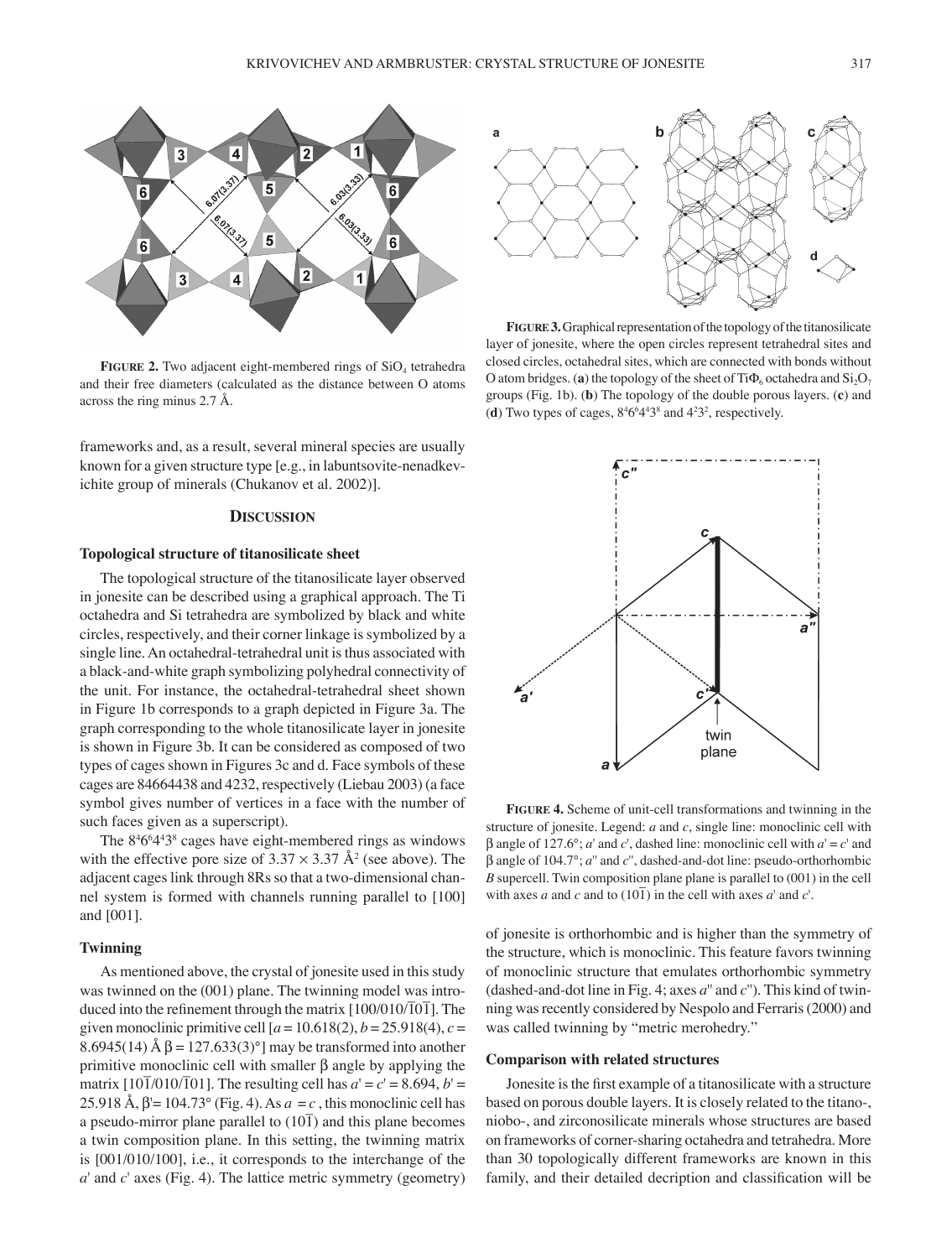

**FIGURE 2.** Two adjacent eight-membered rings of SiO<sub>4</sub> tetrahedra and their free diameters (calculated as the distance between O atoms across the ring minus 2.7 Å.

frameworks and, as a result, several mineral species are usually known for a given structure type [e.g., in labuntsovite-nenadkevichite group of minerals (Chukanov et al. 2002)].

### **DISCUSSION**

#### **Topological structure of titanosilicate sheet**

The topological structure of the titanosilicate layer observed in jonesite can be described using a graphical approach. The Ti octahedra and Si tetrahedra are symbolized by black and white circles, respectively, and their corner linkage is symbolized by a single line. An octahedral-tetrahedral unit is thus associated with a black-and-white graph symbolizing polyhedral connectivity of the unit. For instance, the octahedral-tetrahedral sheet shown in Figure 1b corresponds to a graph depicted in Figure 3a. The graph corresponding to the whole titanosilicate layer in jonesite is shown in Figure 3b. It can be considered as composed of two types of cages shown in Figures 3c and d. Face symbols of these cages are 84664438 and 4232, respectively (Liebau 2003) (a face symbol gives number of vertices in a face with the number of such faces given as a superscript).

The 8<sup>4</sup>6<sup>6</sup>4<sup>4</sup>3<sup>8</sup> cages have eight-membered rings as windows with the effective pore size of  $3.37 \times 3.37$  Å<sup>2</sup> (see above). The adjacent cages link through 8Rs so that a two-dimensional channel system is formed with channels running parallel to [100] and [001].

## **Twinning**

As mentioned above, the crystal of jonesite used in this study was twinned on the (001) plane. The twinning model was introduced into the refinement through the matrix  $[100/010/\overline{10}$ ]. The given monoclinic primitive cell  $[a = 10.618(2), b = 25.918(4), c =$ 8.6945(14) Å  $β = 127.633(3)°$ ] may be transformed into another primitive monoclinic cell with smaller β angle by applying the matrix  $[10\overline{1}/010/\overline{1}01]$ . The resulting cell has  $a' = c' = 8.694$ ,  $b' =$ 25.918 Å, β'= 104.73° (Fig. 4). As *a* = *c* , this monoclinic cell has a pseudo-mirror plane parallel to  $(10\bar{1})$  and this plane becomes a twin composition plane. In this setting, the twinning matrix is [001/010/100], i.e., it corresponds to the interchange of the *a*' and *c*' axes (Fig. 4). The lattice metric symmetry (geometry)



**FIGURE 3.** Graphical representation of the topology of the titanosilicate layer of jonesite, where the open circles represent tetrahedral sites and closed circles, octahedral sites, which are connected with bonds without O atom bridges. (**a**) the topology of the sheet of  $Ti\Phi_6$  octahedra and  $Si<sub>2</sub>O<sub>7</sub>$ groups (Fig. 1b). (**b**) The topology of the double porous layers. (**c**) and (**d**) Two types of cages,  $8^46^64^43^8$  and  $4^23^2$ , respectively.



**FIGURE 4.** Scheme of unit-cell transformations and twinning in the structure of jonesite. Legend: *a* and *c*, single line: monoclinic cell with β angle of 127.6°; *a*' and *c*', dashed line: monoclinic cell with *a*' = *c*' and β angle of 104.7°; *a*'' and *c*'', dashed-and-dot line: pseudo-orthorhombic *B* supercell. Twin composition plane plane is parallel to (001) in the cell with axes *a* and *c* and to  $(10\bar{1})$  in the cell with axes *a*' and *c*'.

of jonesite is orthorhombic and is higher than the symmetry of the structure, which is monoclinic. This feature favors twinning of monoclinic structure that emulates orthorhombic symmetry (dashed-and-dot line in Fig. 4; axes *a*'' and *c*''). This kind of twinning was recently considered by Nespolo and Ferraris (2000) and was called twinning by "metric merohedry."

## **Comparison with related structures**

Jonesite is the first example of a titanosilicate with a structure based on porous double layers. It is closely related to the titano-, niobo-, and zirconosilicate minerals whose structures are based on frameworks of corner-sharing octahedra and tetrahedra. More than 30 topologically different frameworks are known in this family, and their detailed decription and classification will be